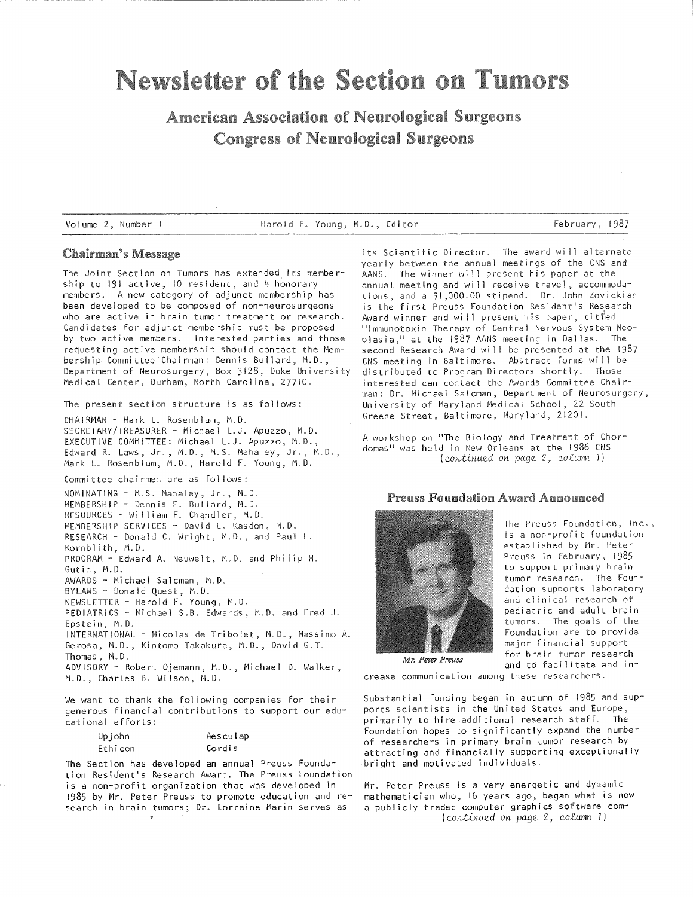# Newsletter of the Section on Tumors

# **American Association of Neurological Surgeons Congress of Neurological Surgeons**

Volume 2, Number I Harold F. Young, M.D., Editor February, 1987

#### **Chairman's Message**

The Joint Section on Tumors has extended its membership to 191 active, 10 resident, and 4 honorary members. A new category of adjunct membership has been developed to be composed of non-neurosurgeons who are active in brain tumor treatment or research. Candidates for adjunct membership must be proposed by two active members. Interested parties and those requesting active membership should contact the Membership Committee Chairman: Dennis Bullard, M.D., Department of Neurosurgery, Box 3128, Duke University Medical Center, Durham, North Carolina, 27710.

The present section structure is as follows:

CHAIRMAN - Mark L. Rosenblum, M.D. SECRETARY/TREASURER- Michael L.J. Apuzzo, M.D. EXECUTIVE COMMITTEE: Michael L.J. Apuzzo, M.D., Edward R. Laws, Jr., M.D., M.S. Mahaley, Jr., M.D., Mark L. Rosenblum, M.D., Harold F. Young, M.D.

Committee chairmen are as follows:

NOMINATING- M.S. Mahaley, Jr., M.D. MEMBERSHIP- Dennis E. Bullard, M.D. RESOURCES- William F. Chandler, M.D. MEMBERSHIP SERVICES - David L. Kasdon, M.D. RESEARCH - Donald C. Wright, M.D., and Paul L. Kornblith, M.D. PROGRAM - Edward A. Neuwelt, M.D. and Philip H. Gutin, M.D. AWARDS - Michael Salcman, M.D. BYLAWS- Donald Quest, M.D. NEWSLETTER- Harold F. Young, M.D. PEDIATRICS - Michael S.B. Edwards, M.D. and Fred J. Epstein, M.D. INTERNATIONAL- Nicolas de Tribolet, M.D., Massimo A. Gerosa, M.D., Kintomo Takakura, M.D., David G.T. Thomas, M.D.

ADVISORY - Robert Ojemann, M.D., Michael D. Walker, M.D., Charles B. Wilson, M.D.

We want to thank the following companies for their generous financial contributions to support our educational efforts:

| Upjohn  | Aesculap |
|---------|----------|
| Ethicon | Cordis   |

The Section has developed an annual Preuss Foundation Resident's Research Award. The Preuss Foundation is a non-profit organization that was developed in 1985 by Mr. Peter Preuss to promote education and research in brain tumors; Dr. Lorraine Marin serves as

its Scientific Director. The award will alternate yearly between the annual meetings of the CNS and AANS. The winner will present his paper at the annual meeting and will receive travel, accommodations, and a \$1,000.00 stipend. Dr. John Zovickian is the first Preuss Foundation Resident's Research Award winner and will present his paper, tit<sup>fed</sup> " Immunotoxin Therapy of Central Nervous System Neoplasia," at the 1987 AANS meeting in Dallas. The second Research Award will be presented at the 1987 CNS meeting in Baltimore. Abstract forms will be distributed to Program Directors shortly. Those interested can contact the Awards Committee Chairman: Dr. Michael Salcman, Department of Neurosurgery, University of Maryland Medical School, 22 South Greene Street, Baltimore, Maryland, 21201.

A workshop on "The Biology and Treatment of Chordomas" was held in New Orleans at the 1986 CNS *(Qontinued on page 2, QOlumn* 1)

### **Preuss Foundation Award Announced**



The Preuss Foundation, Inc., is a non-profit foundati established by Mr. Peter Preuss in February, 1985 to support primary brain tumor research. The Foundation supports laboratory and clinical research of pediatric and adult brain tumors. The goals of the Foundation are to provide major financial support for brain tumor research and to facilitate and in-

*Mr. Peter Preuss* 

crease communication among these researchers.

Substantial funding began in autumn of 1985 and supports scientists in the United States and Europe, primarily to hire additional research staff. The Foundation hopes to significantly expand the number of researchers in primary brain tumor research by attracting and financially supporting exceptionally bright and motivated individuals.

Mr. Peter Preuss is a very energetic and dynami.c mathematician who, 16 years ago, began what is now a publicly traded computer graphics software com- *(continued on page 2, column 1)*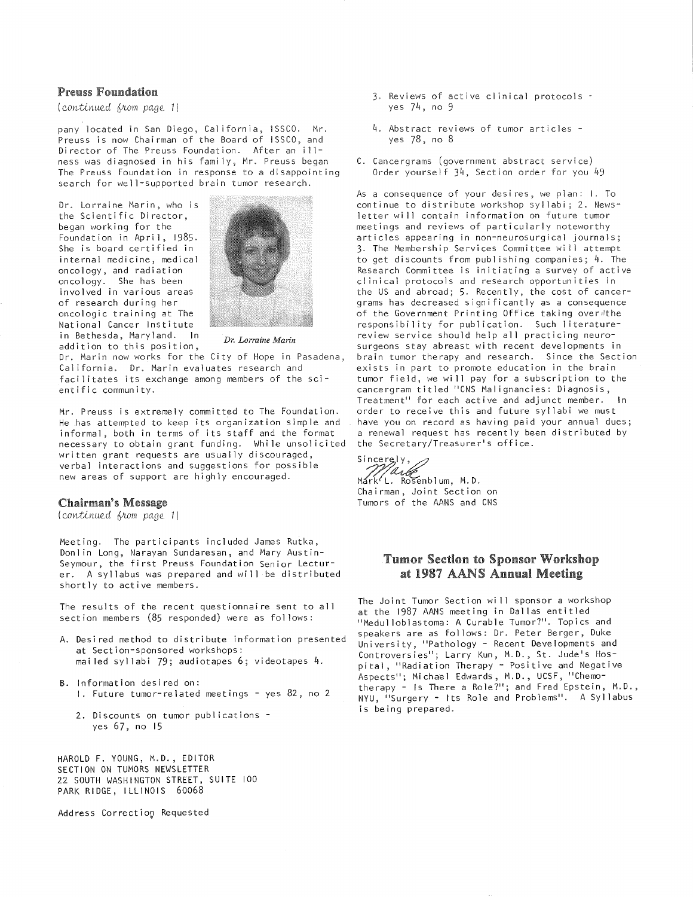#### Preuss Foundation

*(Qontinued 6nom page 1)* 

pany located in San Diego, California, ISSCO. Mr. Preuss is now Chairman of the Board of ISSCO, and Director of The Preuss Foundation. After an illness was diagnosed in his family, Mr. Preuss began The Preuss Foundation in response to a disappointing search for well-supported brain tumor research.

Dr. Lorraine Marin, who is the Scientific Director, began working for the Foundation in April, 1985. She is board certified in internal medicine, medical oncology, and radiation oncology. She has been involved in various areas of research during her oncologic training at The National Cancer Institute in Bethesda, Maryland. In addition to this position, *Dr. Lorraine Marin* 



Dr. Marin now works for the City of Hope in Pasadena, California. Dr. Marin evaluates research and facilitates its exchange among members of the scientific community.

Mr. Preuss is extremely committed to The Foundation. He .has attempted to keep its organization simple and informal, both in terms of its staff and the format necessary to obtain grant funding. While unsolicited written grant requests are usually discouraged, verbal interactions and suggestions for possible new areas of support are highly encouraged.

#### Chairman's Message

( *Qontivwed 6nom page* 1)

Meeting. The participants included James Rutka, Donlin Long, Narayan Sundaresan, and Mary Austin-Seymour, the first Preuss Foundation Senior Lecturer. A syllabus was prepared and wi 11 be distributed shortly to active members.

The results of the recent questionnaire sent to all section members (85 responded) were as follows:

- A. Desired method to distribute information presented at Section-sponsored workshops: mailed syllabi 79; audiotapes 6; videotapes 4.
- B. Information desired on:
	- I. Future tumor-related meetings- yes 82, no 2
	- 2. Discounts on tumor publications yes 67, no 15

HAROLD F. YOUNG, M.D., EDITOR SECTION ON TUMORS NEWSLETTER 22 SOUTH WASHINGTON STREET, SUITE 100 PARK RIDGE, ILLINOIS 60068

Address Correction Requested

- 3. Reviews of active clinical protocols yes 74, no 9
- 4. Abstract reviews of tumor articles yes 78, no 8
- C. Cancergrams (government abstract service) Order yourself 34, Section order for you 49

As a consequence of your desires, we plan: I. To continue to distribute workshop syllabi; 2. Newsletter will contain information on future tumor meetings and reviews of particularly noteworthy articles appearing in non-neurosurgical journals; 3. The Membership Services Committee will attempt to get discounts from publishing companies;  $4$ . The Research Committee is initiating a survey of active clinical protocols and research opportunities in the US and abroad; 5. Recently, the cost of cancergrams has decreased significantly as a consequence of the Government Printing Office taking over#the responsibility for publication. Such literaturereview service should help all practicing neurosurgeons stay abreast with recent developments in brain tumor therapy and research. Since the Section exists in part to promote education in the brain tumor field, we wi 11 pay for a subscription to the cancergram titled "CNS Malignancies: Diagnosis, Treatment" for each active and adjunct member. In order to receive this and future syllabi we must have you on record as having paid your annual dues; a renewal request has recently been distributed by the Secretary/Treasurer's office.

Sincerely,

Mark'L. Rosenblum, M.D. Chairman, Joint Section on Tumors of the AANS and CNS

## **Tumor Section to Sponsor Workshop** at 1987 AANS Annual Meeting

The Joint Tumor Section wi 11 sponsor a workshop at the 1987 AANS meeting in Dallas entitled "Medulloblastoma: A Curable Tumor?". Topics and speakers are as follows: Dr. Peter Berger, Duke University, "Pathology- Recent Developments and Controversies"; Larry Kun, M.D., St. Jude's Hospital, "Radiation Therapy - Positive and Negative Aspects"; Michael Edwards, M.D., UCSF, "Chemotherapy- Is There a Role?"; and Fred Epstein, M.D., NYU, "Surgery - Its Role and Problems". A Syllabus is being prepared.